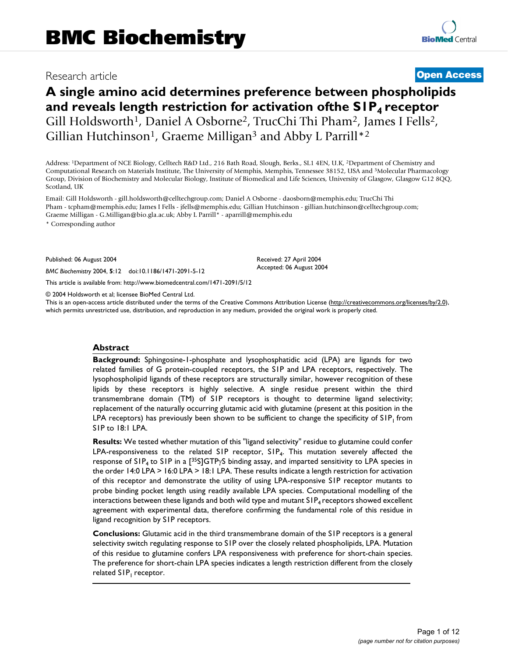# Research article **[Open Access](http://www.biomedcentral.com/info/about/charter/)**

# **A single amino acid determines preference between phospholipids**  and reveals length restriction for activation ofthe SIP<sub>4</sub> receptor Gill Holdsworth<sup>1</sup>, Daniel A Osborne<sup>2</sup>, TrucChi Thi Pham<sup>2</sup>, James I Fells<sup>2</sup>, Gillian Hutchinson<sup>1</sup>, Graeme Milligan<sup>3</sup> and Abby L Parrill<sup>\*2</sup>

Address: 1Department of NCE Biology, Celltech R&D Ltd., 216 Bath Road, Slough, Berks., SL1 4EN, U.K, 2Department of Chemistry and Computational Research on Materials Institute, The University of Memphis, Memphis, Tennessee 38152, USA and 3Molecular Pharmacology Group, Division of Biochemistry and Molecular Biology, Institute of Biomedical and Life Sciences, University of Glasgow, Glasgow G12 8QQ, Scotland, UK

Email: Gill Holdsworth - gill.holdsworth@celltechgroup.com; Daniel A Osborne - daosborn@memphis.edu; TrucChi Thi Pham - tcpham@memphis.edu; James I Fells - jfells@memphis.edu; Gillian Hutchinson - gillian.hutchinson@celltechgroup.com; Graeme Milligan - G.Milligan@bio.gla.ac.uk; Abby L Parrill\* - aparrill@memphis.edu

\* Corresponding author

Published: 06 August 2004

*BMC Biochemistry* 2004, **5**:12 doi:10.1186/1471-2091-5-12

[This article is available from: http://www.biomedcentral.com/1471-2091/5/12](http://www.biomedcentral.com/1471-2091/5/12)

© 2004 Holdsworth et al; licensee BioMed Central Ltd.

This is an open-access article distributed under the terms of the Creative Commons Attribution License (<http://creativecommons.org/licenses/by/2.0>), which permits unrestricted use, distribution, and reproduction in any medium, provided the original work is properly cited.

Received: 27 April 2004 Accepted: 06 August 2004

#### **Abstract**

**Background:** Sphingosine-1-phosphate and lysophosphatidic acid (LPA) are ligands for two related families of G protein-coupled receptors, the S1P and LPA receptors, respectively. The lysophospholipid ligands of these receptors are structurally similar, however recognition of these lipids by these receptors is highly selective. A single residue present within the third transmembrane domain (TM) of S1P receptors is thought to determine ligand selectivity; replacement of the naturally occurring glutamic acid with glutamine (present at this position in the LPA receptors) has previously been shown to be sufficient to change the specificity of  $SIP<sub>1</sub>$  from S1P to 18:1 LPA.

**Results:** We tested whether mutation of this "ligand selectivity" residue to glutamine could confer LPA-responsiveness to the related SIP receptor,  $SIP_4$ . This mutation severely affected the response of SIP<sub>4</sub> to SIP in a  $[^{35}S]GTP\gamma S$  binding assay, and imparted sensitivity to LPA species in the order 14:0 LPA > 16:0 LPA > 18:1 LPA. These results indicate a length restriction for activation of this receptor and demonstrate the utility of using LPA-responsive S1P receptor mutants to probe binding pocket length using readily available LPA species. Computational modelling of the interactions between these ligands and both wild type and mutant S1P4 receptors showed excellent agreement with experimental data, therefore confirming the fundamental role of this residue in ligand recognition by S1P receptors.

**Conclusions:** Glutamic acid in the third transmembrane domain of the S1P receptors is a general selectivity switch regulating response to S1P over the closely related phospholipids, LPA. Mutation of this residue to glutamine confers LPA responsiveness with preference for short-chain species. The preference for short-chain LPA species indicates a length restriction different from the closely related  $SIP<sub>1</sub>$  receptor.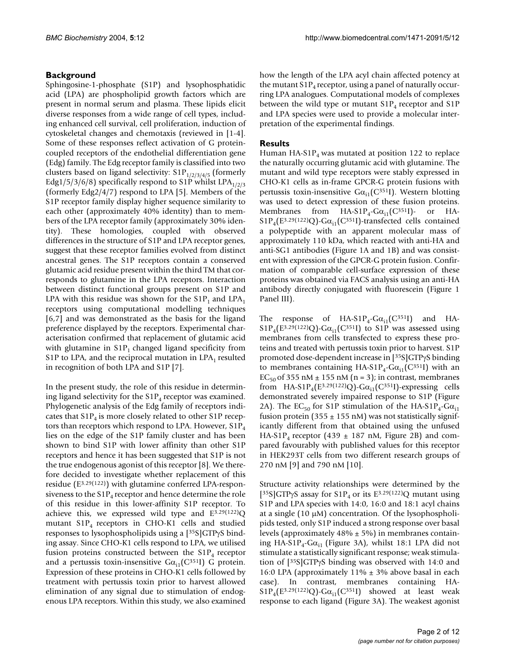# **Background**

Sphingosine-1-phosphate (S1P) and lysophosphatidic acid (LPA) are phospholipid growth factors which are present in normal serum and plasma. These lipids elicit diverse responses from a wide range of cell types, including enhanced cell survival, cell proliferation, induction of cytoskeletal changes and chemotaxis (reviewed in [1-4]. Some of these responses reflect activation of G proteincoupled receptors of the endothelial differentiation gene (Edg) family. The Edg receptor family is classified into two clusters based on ligand selectivity:  $S1P_{1/2/3/4/5}$  (formerly Edg1/5/3/6/8) specifically respond to S1P whilst  $LPA<sub>1/2/3</sub>$ (formerly Edg2/4/7) respond to LPA [5]. Members of the S1P receptor family display higher sequence similarity to each other (approximately 40% identity) than to members of the LPA receptor family (approximately 30% identity). These homologies, coupled with observed differences in the structure of S1P and LPA receptor genes, suggest that these receptor families evolved from distinct ancestral genes. The S1P receptors contain a conserved glutamic acid residue present within the third TM that corresponds to glutamine in the LPA receptors. Interaction between distinct functional groups present on S1P and LPA with this residue was shown for the  $S1P_1$  and LPA<sub>1</sub> receptors using computational modelling techniques [6,7] and was demonstrated as the basis for the ligand preference displayed by the receptors. Experimental characterisation confirmed that replacement of glutamic acid with glutamine in  $S1P_1$  changed ligand specificity from S1P to LPA, and the reciprocal mutation in  $LPA<sub>1</sub>$  resulted in recognition of both LPA and S1P [7].

In the present study, the role of this residue in determining ligand selectivity for the  $S1P<sub>4</sub>$  receptor was examined. Phylogenetic analysis of the Edg family of receptors indicates that  $S1P_4$  is more closely related to other S1P receptors than receptors which respond to LPA. However,  $S1P_4$ lies on the edge of the S1P family cluster and has been shown to bind S1P with lower affinity than other S1P receptors and hence it has been suggested that S1P is not the true endogenous agonist of this receptor [8]. We therefore decided to investigate whether replacement of this residue (E3.29(122)) with glutamine conferred LPA-responsiveness to the  $S1P_4$  receptor and hence determine the role of this residue in this lower-affinity S1P receptor. To achieve this, we expressed wild type and E3.29(122)Q mutant S1P<sub>4</sub> receptors in CHO-K1 cells and studied responses to lysophospholipids using a [35S]GTPγS binding assay. Since CHO-K1 cells respond to LPA, we utilised fusion proteins constructed between the  $S1P<sub>4</sub>$  receptor and a pertussis toxin-insensitive  $Ga_{i1}(C^{351})$  G protein. Expression of these proteins in CHO-K1 cells followed by treatment with pertussis toxin prior to harvest allowed elimination of any signal due to stimulation of endogenous LPA receptors. Within this study, we also examined

how the length of the LPA acyl chain affected potency at the mutant  $S1P_4$  receptor, using a panel of naturally occurring LPA analogues. Computational models of complexes between the wild type or mutant  $S1P_4$  receptor and  $S1P_4$ and LPA species were used to provide a molecular interpretation of the experimental findings.

### **Results**

Human HA-S1 $P_4$  was mutated at position 122 to replace the naturally occurring glutamic acid with glutamine. The mutant and wild type receptors were stably expressed in CHO-K1 cells as in-frame GPCR-G protein fusions with pertussis toxin-insensitive  $Ga_{i1}(C^{351}]$ . Western blotting was used to detect expression of these fusion proteins. Membranes from  $HA-S1P_4-G\alpha_{11}(C^{351}I)$ - or HA- $S1P_4(E^{3.29(122)}Q)$ -G $\alpha_{i1}$ (C<sup>351</sup>I)-transfected cells contained a polypeptide with an apparent molecular mass of approximately 110 kDa, which reacted with anti-HA and anti-SG1 antibodies (Figure [1](#page-2-0)A and [1B](#page-2-0)) and was consistent with expression of the GPCR-G protein fusion. Confirmation of comparable cell-surface expression of these proteins was obtained via FACS analysis using an anti-HA antibody directly conjugated with fluorescein (Figure [1](#page-2-0) Panel III).

The response of  $HA-S1P_4-G\alpha_{11}(C^{351}I)$  and HA- $S1P_4(E^{3.29(122)}Q)$ -G $\alpha_{i1}$ (C<sup>351</sup>I) to S1P was assessed using membranes from cells transfected to express these proteins and treated with pertussis toxin prior to harvest. S1P promoted dose-dependent increase in [35S]GTPγS binding to membranes containing HA-S1P<sub>4</sub>-G $\alpha_{i1}$ (C<sup>351</sup>I) with an EC<sub>50</sub> of 355 nM  $\pm$  155 nM (n = 3); in contrast, membranes from  $HA-S1P_4(E^{3.29(122)}Q)$ -G $\alpha_{i1}$ (C<sup>351</sup>I)-expressing cells demonstrated severely impaired response to S1P (Figure [2](#page-3-0)A). The EC<sub>50</sub> for S1P stimulation of the HA-S1P<sub>4</sub>-G $\alpha_{i1}$ fusion protein (355  $\pm$  155 nM) was not statistically significantly different from that obtained using the unfused HA-S1P<sub>4</sub> receptor (439  $\pm$  187 nM, Figure [2](#page-3-0)B) and compared favourably with published values for this receptor in HEK293T cells from two different research groups of 270 nM [9] and 790 nM [10].

Structure activity relationships were determined by the [<sup>35</sup>S]GTP $\gamma$ S assay for S1P<sub>4</sub> or its E<sup>3.29(122)</sup>Q mutant using S1P and LPA species with 14:0, 16:0 and 18:1 acyl chains at a single  $(10 \mu M)$  concentration. Of the lysophospholipids tested, only S1P induced a strong response over basal levels (approximately  $48\% \pm 5\%$ ) in membranes containing HA-S1P<sub>4</sub>-G $\alpha_{i1}$  (Figure 3A), whilst 18:1 LPA did not stimulate a statistically significant response; weak stimulation of [35S]GTPγS binding was observed with 14:0 and 16:0 LPA (approximately  $11\% \pm 3\%$  above basal in each case). In contrast, membranes containing HA- $S1P_4(E^{3.29(122)}Q)$ -G $\alpha_{i1}$ (C<sup>351</sup>I) showed at least weak response to each ligand (Figure 3A). The weakest agonist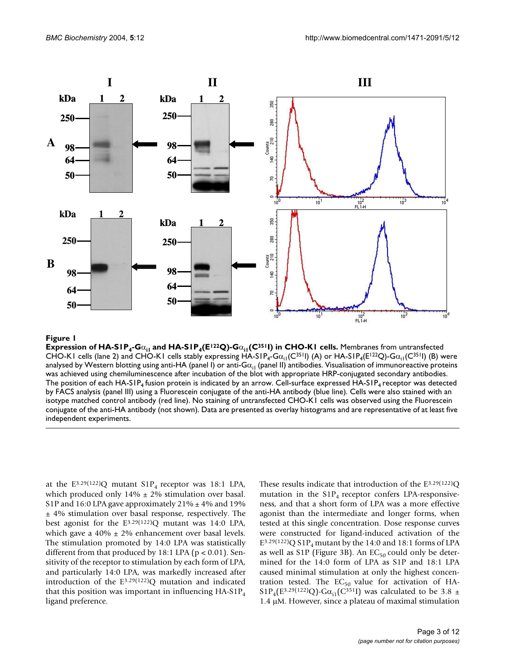<span id="page-2-0"></span>

**Eigure 1** and HA-S1P4-Gain and HA-S1P4-Gaine 1 in C351 cells and HA-S1P4(E122)-Gaine 1 in CHO-K1 cells and HA-S1P4 **Expression of HA-S1P<sub>4</sub>-Gα<sub>i1</sub> and HA-S1P<sub>4</sub>(E<sup>122</sup>Q)-Gα<sub>i1</sub>(C<sup>351</sup>I) in CHO-K1 cells. Membranes from untransfected** CHO-K1 cells (lane 2) and CHO-K1 cells stably expressing  $HA-SIP_4-G\alpha_{11}(C^{3511})$  (A) or HA-S1P<sub>4</sub>(E<sup>122</sup>Q)-G $\alpha_{11}(C^{3511})$  (B) were analysed by Western blotting using anti-HA (panel I) or anti-G $\alpha_{i1}$  (panel II) antibodies. Visualisation of immunoreactive proteins was achieved using chemiluminescence after incubation of the blot with appropriate HRP-conjugated secondary antibodies. The position of each HA-S1P<sub>4</sub> fusion protein is indicated by an arrow. Cell-surface expressed HA-S1P<sub>4</sub> receptor was detected by FACS analysis (panel III) using a Fluorescein conjugate of the anti-HA antibody (blue line). Cells were also stained with an isotype matched control antibody (red line). No staining of untransfected CHO-K1 cells was observed using the Fluorescein conjugate of the anti-HA antibody (not shown). Data are presented as overlay histograms and are representative of at least five independent experiments.

at the  $E^{3.29(122)}Q$  mutant  $S1P_4$  receptor was 18:1 LPA, which produced only  $14\% \pm 2\%$  stimulation over basal. S1P and 16:0 LPA gave approximately  $21\% \pm 4\%$  and 19% ± 4% stimulation over basal response, respectively. The best agonist for the  $E^{3.29(122)}Q$  mutant was 14:0 LPA, which gave a  $40\% \pm 2\%$  enhancement over basal levels. The stimulation promoted by 14:0 LPA was statistically different from that produced by 18:1 LPA ( $p < 0.01$ ). Sensitivity of the receptor to stimulation by each form of LPA, and particularly 14:0 LPA, was markedly increased after introduction of the E3.29(122)Q mutation and indicated that this position was important in influencing  $HA-S1P<sub>4</sub>$ ligand preference.

These results indicate that introduction of the E3.29(122)Q mutation in the  $S1P_4$  receptor confers LPA-responsiveness, and that a short form of LPA was a more effective agonist than the intermediate and longer forms, when tested at this single concentration. Dose response curves were constructed for ligand-induced activation of the E<sup>3.29(122)</sup>Q S1P<sub>4</sub> mutant by the 14:0 and 18:1 forms of LPA as well as S1P (Figure 3B). An  $EC_{50}$  could only be determined for the 14:0 form of LPA as S1P and 18:1 LPA caused minimal stimulation at only the highest concentration tested. The  $EC_{50}$  value for activation of HA- $S1P_4(E^{3.29(122)}Q) - G\alpha_{11}(C^{351}I)$  was calculated to be 3.8 ± 1.4 µM. However, since a plateau of maximal stimulation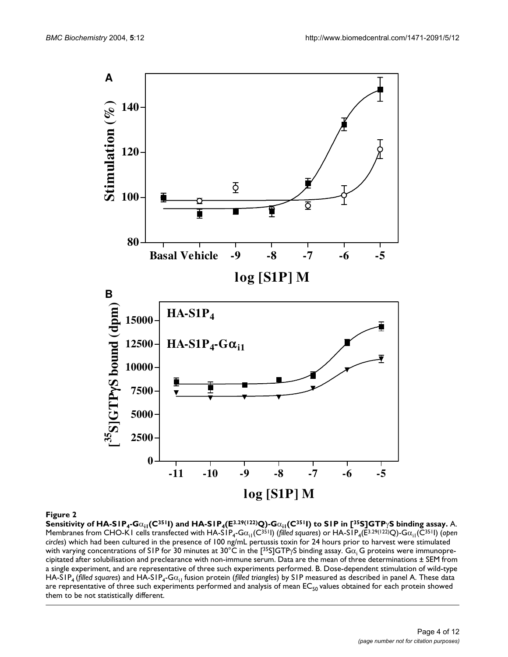<span id="page-3-0"></span>

**Sensitivity of HA-S1P4-G**α**i1(C351I) and HA-S1P4(E3.29(122)Q)-G**α**i1(C351I) to S1P in [35S]GTP**γ**S binding assay.** A. Membranes from CHO-K1 cells transfected with HA-S1P<sub>4</sub>-Gα<sub>i1</sub>(C<sup>351</sup>I) (filled squares) or HA-S1P<sub>4</sub>(E<sup>3.29(122)</sup>Q)-Gα<sub>i1</sub>(C<sup>351</sup>I) (open *circles*) which had been cultured in the presence of 100 ng/mL pertussis toxin for 24 hours prior to harvest were stimulated with varying concentrations of S1P for 30 minutes at 30°C in the [<sup>35</sup>S]GTP<sub>Y</sub>S binding assay. G $\alpha_i$  G proteins were immunoprecipitated after solubilisation and preclearance with non-immune serum. Data are the mean of three determinations ± SEM from a single experiment, and are representative of three such experiments performed. B. Dose-dependent stimulation of wild-type HA-S1P<sub>4</sub> (filled squares) and HA-S1P<sub>4</sub>-Gα<sub>i1</sub> fusion protein (filled triangles) by S1P measured as described in panel A. These data are representative of three such experiments performed and analysis of mean  $EC_{50}$  values obtained for each protein showed them to be not statistically different.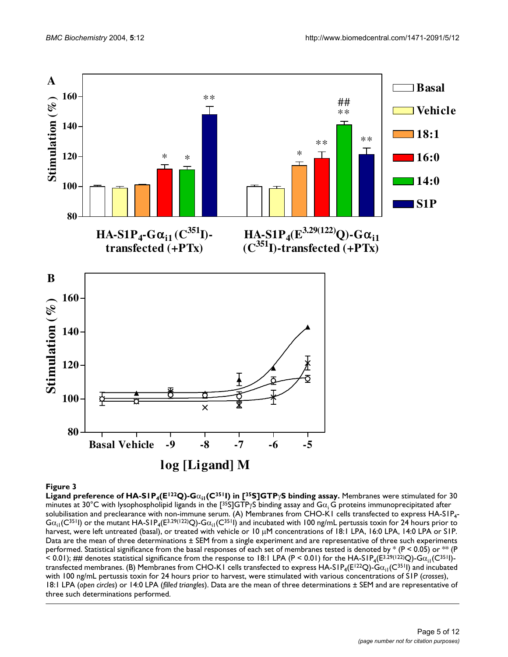

**Ligand 3** S1P4(E122)-Gain(C351I) in E122Q S1234III in E122Q)-Gain(C351I) in E123 **Ligand preference of HA-S1P4(E122Q)-G**α**i1(C351I) in [35S]GTP**γ**S binding assay.** Membranes were stimulated for 30 minutes at 30°C with lysophospholipid ligands in the [<sup>35</sup>S]GTP<sub>Y</sub>S binding assay and G $\alpha_i$  G proteins immunoprecipitated after solubilisation and preclearance with non-immune serum. (A) Membranes from CHO-K1 cells transfected to express HA-S1P<sub>4</sub>- $Ga_{i1}(C^{351})$  or the mutant HA-S1P<sub>4</sub>(E<sup>3.29(122)</sup>Q)-G $a_{i1}(C^{351})$  and incubated with 100 ng/mL pertussis toxin for 24 hours prior to harvest, were left untreated (basal), or treated with vehicle or 10  $\mu$ M concentrations of 18:1 LPA, 16:0 LPA, 14:0 LPA or S1P. Data are the mean of three determinations ± SEM from a single experiment and are representative of three such experiments performed. Statistical significance from the basal responses of each set of membranes tested is denoted by \* (P < 0.05) or \*\* (P < 0.01); ## denotes statistical significance from the response to 18:1 LPA (P < 0.01) for the HA-S1P<sub>4</sub>(E<sup>3.29(122)</sup>Q)-G $\alpha_{i1}$ (C<sup>351</sup>I)transfected membranes. (B) Membranes from CHO-K1 cells transfected to express  $HA-SIP_4(E^{122}Q)$ -G $\alpha_{i1}(C^{351})$  and incubated with 100 ng/mL pertussis toxin for 24 hours prior to harvest, were stimulated with various concentrations of S1P (*crosses*), 18:1 LPA (*open circles*) or 14:0 LPA (*filled triangles*). Data are the mean of three determinations ± SEM and are representative of three such determinations performed.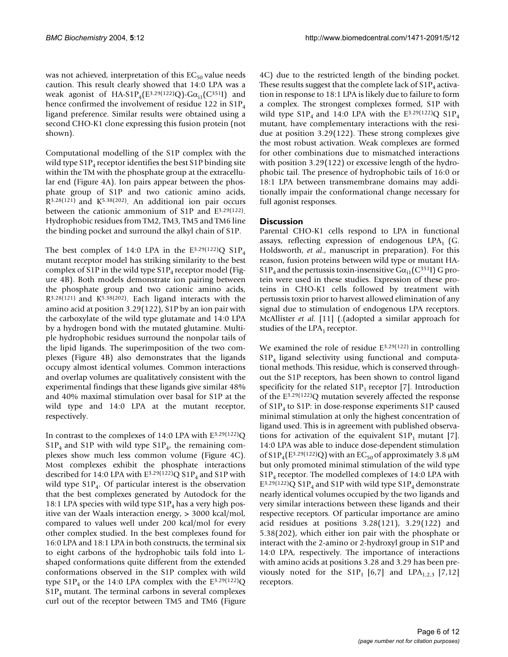was not achieved, interpretation of this  $EC_{50}$  value needs caution. This result clearly showed that 14:0 LPA was a weak agonist of HA-S1P<sub>4</sub>(E3.29(122)Q)-G $\alpha_{i1}$ (C351I) and hence confirmed the involvement of residue 122 in  $\text{S1P}_4$ ligand preference. Similar results were obtained using a second CHO-K1 clone expressing this fusion protein (not shown).

Computational modelling of the S1P complex with the wild type  $S1P_4$  receptor identifies the best S1P binding site within the TM with the phosphate group at the extracellular end (Figure [4](#page-6-0)A). Ion pairs appear between the phosphate group of S1P and two cationic amino acids,  $R^{3.28(121)}$  and  $K^{5.38(202)}$ . An additional ion pair occurs between the cationic ammonium of S1P and E3.29(122). Hydrophobic residues from TM2, TM3, TM5 and TM6 line the binding pocket and surround the alkyl chain of S1P.

The best complex of 14:0 LPA in the  $E^{3.29(122)}Q S1P_4$ mutant receptor model has striking similarity to the best complex of S1P in the wild type  $S1P_4$  receptor model (Figure [4B](#page-6-0)). Both models demonstrate ion pairing between the phosphate group and two cationic amino acids, R3.28(121) and K5.38(202). Each ligand interacts with the amino acid at position 3.29(122), S1P by an ion pair with the carboxylate of the wild type glutamate and 14:0 LPA by a hydrogen bond with the mutated glutamine. Multiple hydrophobic residues surround the nonpolar tails of the lipid ligands. The superimposition of the two complexes (Figure [4B](#page-6-0)) also demonstrates that the ligands occupy almost identical volumes. Common interactions and overlap volumes are qualitatively consistent with the experimental findings that these ligands give similar 48% and 40% maximal stimulation over basal for S1P at the wild type and 14:0 LPA at the mutant receptor, respectively.

In contrast to the complexes of 14:0 LPA with  $E^{3.29(122)}Q$  $S1P_4$  and S1P with wild type  $S1P_4$ , the remaining complexes show much less common volume (Figure [4C](#page-6-0)). Most complexes exhibit the phosphate interactions described for 14:0 LPA with  $E^{3.29(122)}Q S1P_4$  and S1P with wild type  $\text{S1P}_4$ . Of particular interest is the observation that the best complexes generated by Autodock for the 18:1 LPA species with wild type  $S1P_4$  has a very high positive van der Waals interaction energy, > 3000 kcal/mol, compared to values well under 200 kcal/mol for every other complex studied. In the best complexes found for 16:0 LPA and 18:1 LPA in both constructs, the terminal six to eight carbons of the hydrophobic tails fold into Lshaped conformations quite different from the extended conformations observed in the S1P complex with wild type  $S1P_4$  or the 14:0 LPA complex with the  $E^{3.29(122)}Q$  $S1P_4$  mutant. The terminal carbons in several complexes curl out of the receptor between TM5 and TM6 (Figure

[4](#page-6-0)C) due to the restricted length of the binding pocket. These results suggest that the complete lack of  $S1P_4$  activation in response to 18:1 LPA is likely due to failure to form a complex. The strongest complexes formed, S1P with wild type  $\text{S1P}_4$  and 14:0 LPA with the  $\text{E}^{3.29(122)}\text{Q } \text{S1P}_4$ mutant, have complementary interactions with the residue at position 3.29(122). These strong complexes give the most robust activation. Weak complexes are formed for other combinations due to mismatched interactions with position 3.29(122) or excessive length of the hydrophobic tail. The presence of hydrophobic tails of 16:0 or 18:1 LPA between transmembrane domains may additionally impair the conformational change necessary for full agonist responses.

# **Discussion**

Parental CHO-K1 cells respond to LPA in functional assays, reflecting expression of endogenous  $LPA<sub>1</sub>$  (G. Holdsworth, *et al*., manuscript in preparation). For this reason, fusion proteins between wild type or mutant HA-S1P<sub>4</sub> and the pertussis toxin-insensitive  $Ga_{i1}(C^{351})$  G protein were used in these studies. Expression of these proteins in CHO-K1 cells followed by treatment with pertussis toxin prior to harvest allowed elimination of any signal due to stimulation of endogenous LPA receptors. McAllister *et al*. [11] (.(adopted a similar approach for studies of the  $LPA<sub>1</sub>$  receptor.

We examined the role of residue E3.29(122) in controlling  $S1P_4$  ligand selectivity using functional and computational methods. This residue, which is conserved throughout the S1P receptors, has been shown to control ligand specificity for the related  $S1P_1$  receptor [7]. Introduction of the E3.29(122)Q mutation severely affected the response of  $S1P_4$  to  $S1P$ : in dose-response experiments  $S1P$  caused minimal stimulation at only the highest concentration of ligand used. This is in agreement with published observations for activation of the equivalent  $S1P_1$  mutant [7]. 14:0 LPA was able to induce dose-dependent stimulation of  $S1P_4(E^{3.29(122)}Q)$  with an EC<sub>50</sub> of approximately 3.8 µM but only promoted minimal stimulation of the wild type  $S1P<sub>4</sub>$  receptor. The modelled complexes of 14:0 LPA with E<sup>3.29(122)</sup>Q S1P<sub>4</sub> and S1P with wild type S1P<sub>4</sub> demonstrate nearly identical volumes occupied by the two ligands and very similar interactions between these ligands and their respective receptors. Of particular importance are amino acid residues at positions  $3.28(121)$ ,  $3.29(122)$  and 5.38(202), which either ion pair with the phosphate or interact with the 2-amino or 2-hydroxyl group in S1P and 14:0 LPA, respectively. The importance of interactions with amino acids at positions 3.28 and 3.29 has been previously noted for the  $S1P_1$  [6,7] and LPA<sub>1,2,3</sub> [7,12] receptors.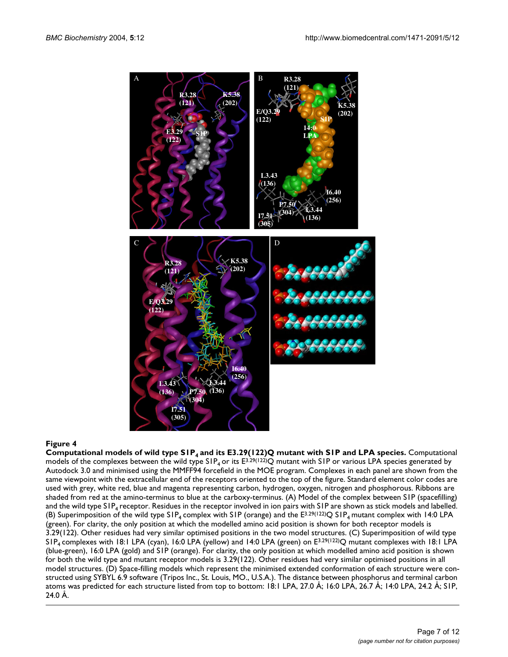<span id="page-6-0"></span>

**Computational models of wild type S1P4 and its E3.29(122)Q mutant with S1P and LPA species.** Computational models of the complexes between the wild type SIP<sub>4</sub> or its  $E^{3.29(122)}Q$  mutant with SIP or various LPA species generated by Autodock 3.0 and minimised using the MMFF94 forcefield in the MOE program. Complexes in each panel are shown from the same viewpoint with the extracellular end of the receptors oriented to the top of the figure. Standard element color codes are used with grey, white red, blue and magenta representing carbon, hydrogen, oxygen, nitrogen and phosphorous. Ribbons are shaded from red at the amino-terminus to blue at the carboxy-terminus. (A) Model of the complex between S1P (spacefilling) and the wild type S1P<sub>4</sub> receptor. Residues in the receptor involved in ion pairs with S1P are shown as stick models and labelled. (B) Superimposition of the wild type SIP<sub>4</sub> complex with SIP (orange) and the  $E^{3.29(122)}Q$  SIP<sub>4</sub> mutant complex with 14:0 LPA (green). For clarity, the only position at which the modelled amino acid position is shown for both receptor models is 3.29(122). Other residues had very similar optimised positions in the two model structures. (C) Superimposition of wild type S1P4 complexes with 18:1 LPA (cyan), 16:0 LPA (yellow) and 14:0 LPA (green) on E3.29(122)Q mutant complexes with 18:1 LPA (blue-green), 16:0 LPA (gold) and S1P (orange). For clarity, the only position at which modelled amino acid position is shown for both the wild type and mutant receptor models is 3.29(122). Other residues had very similar optimised positions in all model structures. (D) Space-filling models which represent the minimised extended conformation of each structure were constructed using SYBYL 6.9 software (Tripos Inc., St. Louis, MO., U.S.A.). The distance between phosphorus and terminal carbon atoms was predicted for each structure listed from top to bottom: 18:1 LPA, 27.0 Å; 16:0 LPA, 26.7 Å; 14:0 LPA, 24.2 Å; S1P, 24.0 Å.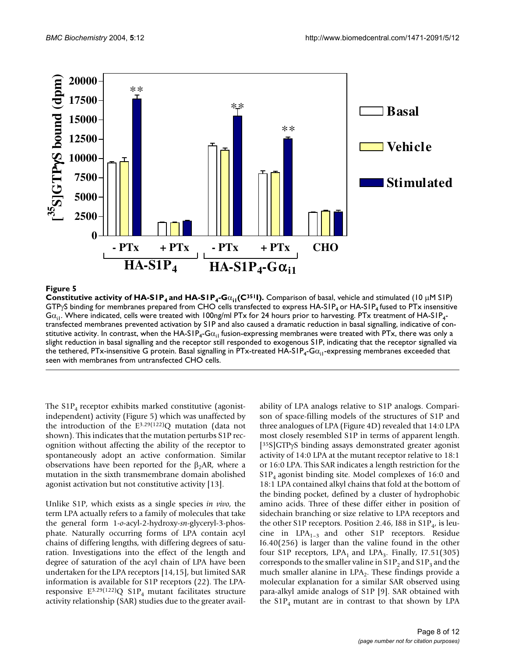

**Constitutive activity of HA-S1P44 and HA-S1P4-Gain(C351 and HA-S1P4-Gain(C351 and HA-S1P4-Gain(C351 and HA-S1P4 Constitutive activity of HA-S1P<sub>4</sub> and HA-S1P<sub>4</sub>-Gα<sub>i1</sub>(C<sup>351</sup>I). Comparison of basal, vehicle and stimulated (10 μM S1P)** GTPyS binding for membranes prepared from CHO cells transfected to express HA-SIP<sub>4</sub> or HA-SIP<sub>4</sub> fused to PTx insensitive  $Ga_{i1}$ . Where indicated, cells were treated with 100ng/ml PTx for 24 hours prior to harvesting. PTx treatment of HA-S1P<sub>4</sub>transfected membranes prevented activation by S1P and also caused a dramatic reduction in basal signalling, indicative of constitutive activity. In contrast, when the HA-S1P<sub>4</sub>-G $\alpha_{i1}$  fusion-expressing membranes were treated with PTx, there was only a slight reduction in basal signalling and the receptor still responded to exogenous S1P, indicating that the receptor signalled via the tethered, PTx-insensitive G protein. Basal signalling in PTx-treated HA-S1P<sub>4</sub>-G $\alpha_{i1}$ -expressing membranes exceeded that seen with membranes from untransfected CHO cells.

The  $S1P_4$  receptor exhibits marked constitutive (agonistindependent) activity (Figure 5) which was unaffected by the introduction of the E3.29(122)Q mutation (data not shown). This indicates that the mutation perturbs S1P recognition without affecting the ability of the receptor to spontaneously adopt an active conformation. Similar observations have been reported for the  $\beta_2$ AR, where a mutation in the sixth transmembrane domain abolished agonist activation but not constitutive activity [13].

Unlike S1P, which exists as a single species *in vivo*, the term LPA actually refers to a family of molecules that take the general form 1-*o*-acyl-2-hydroxy-*sn*-glyceryl-3-phosphate. Naturally occurring forms of LPA contain acyl chains of differing lengths, with differing degrees of saturation. Investigations into the effect of the length and degree of saturation of the acyl chain of LPA have been undertaken for the LPA receptors [14,15], but limited SAR information is available for S1P receptors (22). The LPAresponsive  $E^{3.29(122)}Q S1P_4$  mutant facilitates structure activity relationship (SAR) studies due to the greater availability of LPA analogs relative to S1P analogs. Comparison of space-filling models of the structures of S1P and three analogues of LPA (Figure [4](#page-6-0)D) revealed that 14:0 LPA most closely resembled S1P in terms of apparent length. [35S]GTPγS binding assays demonstrated greater agonist activity of 14:0 LPA at the mutant receptor relative to 18:1 or 16:0 LPA. This SAR indicates a length restriction for the  $S1P<sub>4</sub>$  agonist binding site. Model complexes of 16:0 and 18:1 LPA contained alkyl chains that fold at the bottom of the binding pocket, defined by a cluster of hydrophobic amino acids. Three of these differ either in position of sidechain branching or size relative to LPA receptors and the other S1P receptors. Position 2.46, I88 in  $S1P_4$ , is leucine in  $LPA_{1-3}$  and other S1P receptors. Residue I6.40(256) is larger than the valine found in the other four S1P receptors, LPA<sub>1</sub> and LPA<sub>3</sub>. Finally, I7.51(305) corresponds to the smaller valine in  $S1P_2$  and  $S1P_3$  and the much smaller alanine in  $LPA<sub>2</sub>$ . These findings provide a molecular explanation for a similar SAR observed using para-alkyl amide analogs of S1P [9]. SAR obtained with the  $S1P_4$  mutant are in contrast to that shown by LPA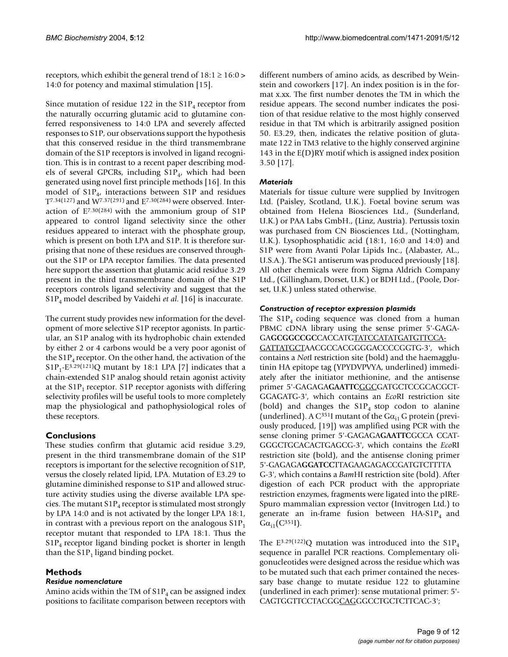receptors, which exhibit the general trend of  $18:1 \ge 16:0$  > 14:0 for potency and maximal stimulation [15].

Since mutation of residue 122 in the  $S1P_4$  receptor from the naturally occurring glutamic acid to glutamine conferred responsiveness to 14:0 LPA and severely affected responses to S1P, our observations support the hypothesis that this conserved residue in the third transmembrane domain of the S1P receptors is involved in ligand recognition. This is in contrast to a recent paper describing models of several GPCRs, including  $S1P<sub>4</sub>$ , which had been generated using novel first principle methods [16]. In this model of  $\text{S1P}_{4}$ , interactions between S1P and residues T7.34(127) and W7.37(291) and E7.30(284) were observed. Interaction of E7.30(284) with the ammonium group of S1P appeared to control ligand selectivity since the other residues appeared to interact with the phosphate group, which is present on both LPA and S1P. It is therefore surprising that none of these residues are conserved throughout the S1P or LPA receptor families. The data presented here support the assertion that glutamic acid residue 3.29 present in the third transmembrane domain of the S1P receptors controls ligand selectivity and suggest that the S1P4 model described by Vaidehi *et al*. [16] is inaccurate.

The current study provides new information for the development of more selective S1P receptor agonists. In particular, an S1P analog with its hydrophobic chain extended by either 2 or 4 carbons would be a very poor agonist of the  $S1P<sub>4</sub>$  receptor. On the other hand, the activation of the  $S1P_1-E^{3.29(121)}Q$  mutant by 18:1 LPA [7] indicates that a chain-extended S1P analog should retain agonist activity at the  $S1P_1$  receptor. S1P receptor agonists with differing selectivity profiles will be useful tools to more completely map the physiological and pathophysiological roles of these receptors.

# **Conclusions**

These studies confirm that glutamic acid residue 3.29, present in the third transmembrane domain of the S1P receptors is important for the selective recognition of S1P, versus the closely related lipid, LPA. Mutation of E3.29 to glutamine diminished response to S1P and allowed structure activity studies using the diverse available LPA species. The mutant  $S1P_4$  receptor is stimulated most strongly by LPA 14:0 and is not activated by the longer LPA 18:1, in contrast with a previous report on the analogous  $S1P_1$ receptor mutant that responded to LPA 18:1. Thus the  $S1P<sub>4</sub>$  receptor ligand binding pocket is shorter in length than the  $S1P<sub>1</sub>$  ligand binding pocket.

### **Methods**

### *Residue nomenclature*

Amino acids within the TM of  $S1P_4$  can be assigned index positions to facilitate comparison between receptors with

different numbers of amino acids, as described by Weinstein and coworkers [17]. An index position is in the format x.xx. The first number denotes the TM in which the residue appears. The second number indicates the position of that residue relative to the most highly conserved residue in that TM which is arbitrarily assigned position 50. E3.29, then, indicates the relative position of glutamate 122 in TM3 relative to the highly conserved arginine 143 in the E(D)RY motif which is assigned index position 3.50 [17].

### *Materials*

Materials for tissue culture were supplied by Invitrogen Ltd. (Paisley, Scotland, U.K.). Foetal bovine serum was obtained from Helena Biosciences Ltd., (Sunderland, U.K.) or PAA Labs GmbH., (Linz, Austria). Pertussis toxin was purchased from CN Biosciences Ltd., (Nottingham, U.K.). Lysophosphatidic acid (18:1, 16:0 and 14:0) and S1P were from Avanti Polar Lipids Inc., (Alabaster, AL., U.S.A.). The SG1 antiserum was produced previously [18]. All other chemicals were from Sigma Aldrich Company Ltd., (Gillingham, Dorset, U.K.) or BDH Ltd., (Poole, Dorset, U.K.) unless stated otherwise.

### *Construction of receptor expression plasmids*

The  $S1P_4$  coding sequence was cloned from a human PBMC cDNA library using the sense primer 5'-GAGA-GA**GCGGCCGC**CACCATGTATCCATATGATGTTCCA-GATTATGCTAACGCCACGGGGACCCCGGTG-3', which contains a *Not*I restriction site (bold) and the haemagglutinin HA epitope tag (YPYDVPVYA, underlined) immediately after the initiator methionine, and the antisense primer 5'-GAGAGA**GAATTC**GGCGATGCTCCGCACGCT-GGAGATG-3', which contains an *Eco*RI restriction site (bold) and changes the  $S1P_4$  stop codon to alanine (underlined). A C<sup>351</sup>I mutant of the G $\alpha_{i1}$  G protein (previously produced, [19]) was amplified using PCR with the sense cloning primer 5'-GAGAGA**GAATTC**GCCA CCAT-GGGCTGCACACTGAGCG-3', which contains the *Eco*RI restriction site (bold), and the antisense cloning primer 5'-GAGAGA**GGATCC**TTAGAAGAGACCGATGTCTTTTA G-3', which contains a *Bam*HI restriction site (bold). After digestion of each PCR product with the appropriate restriction enzymes, fragments were ligated into the pIRE-Spuro mammalian expression vector (Invitrogen Ltd.) to generate an in-frame fusion between  $HA-S1P_4$  and  $Ga_{i1}(C^{351}I).$ 

The E<sup>3.29(122)</sup>Q mutation was introduced into the  $S1P_4$ sequence in parallel PCR reactions. Complementary oligonucleotides were designed across the residue which was to be mutated such that each primer contained the necessary base change to mutate residue 122 to glutamine (underlined in each primer): sense mutational primer: 5'- CAGTGGTTCCTACGGCAGGGCCTGCTCTTCAC-3';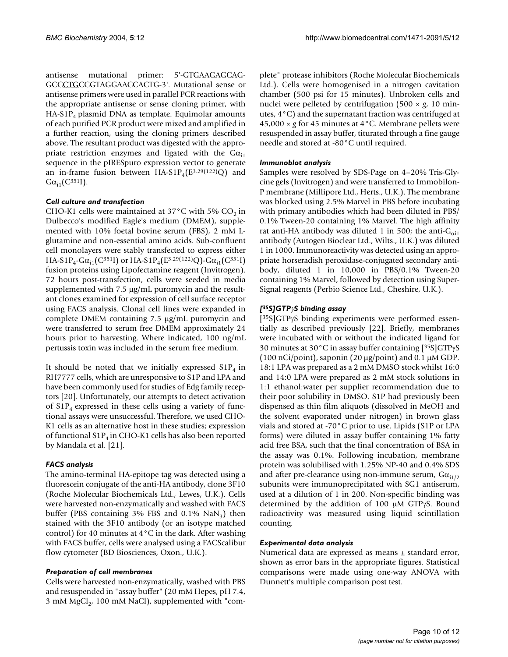antisense mutational primer: 5'-GTGAAGAGCAG-GCCCTGCCGTAGGAACCACTG-3'. Mutational sense or antisense primers were used in parallel PCR reactions with the appropriate antisense or sense cloning primer, with HA-S1P<sub>4</sub> plasmid DNA as template. Equimolar amounts of each purified PCR product were mixed and amplified in a further reaction, using the cloning primers described above. The resultant product was digested with the appropriate restriction enzymes and ligated with the  $Ga_{i1}$ sequence in the pIRESpuro expression vector to generate an in-frame fusion between  $HA-S1P_4(E^{3.29(122)}Q)$  and  $Ga_{i1}(C^{351}I).$ 

#### *Cell culture and transfection*

CHO-K1 cells were maintained at  $37^{\circ}$ C with 5% CO<sub>2</sub> in Dulbecco's modified Eagle's medium (DMEM), supplemented with 10% foetal bovine serum (FBS), 2 mM Lglutamine and non-essential amino acids. Sub-confluent cell monolayers were stably transfected to express either HA-S1P<sub>4</sub>-G $\alpha_{i1}$ (C<sup>351</sup>I) or HA-S1P<sub>4</sub>(E<sup>3.29(122)</sup>Q)-G $\alpha_{i1}$ (C<sup>351</sup>I) fusion proteins using Lipofectamine reagent (Invitrogen). 72 hours post-transfection, cells were seeded in media supplemented with 7.5  $\mu$ g/mL puromycin and the resultant clones examined for expression of cell surface receptor using FACS analysis. Clonal cell lines were expanded in complete DMEM containing 7.5 µg/mL puromycin and were transferred to serum free DMEM approximately 24 hours prior to harvesting. Where indicated, 100 ng/mL pertussis toxin was included in the serum free medium.

It should be noted that we initially expressed  $\text{S1P}_4$  in RH7777 cells, which are unresponsive to S1P and LPA and have been commonly used for studies of Edg family receptors [20]. Unfortunately, our attempts to detect activation of  $S1P_4$  expressed in these cells using a variety of functional assays were unsuccessful. Therefore, we used CHO-K1 cells as an alternative host in these studies; expression of functional  $S1P_4$  in CHO-K1 cells has also been reported by Mandala et al. [21].

### *FACS analysis*

The amino-terminal HA-epitope tag was detected using a fluorescein conjugate of the anti-HA antibody, clone 3F10 (Roche Molecular Biochemicals Ltd., Lewes, U.K.). Cells were harvested non-enzymatically and washed with FACS buffer (PBS containing 3% FBS and 0.1%  $NaN<sub>3</sub>$ ) then stained with the 3F10 antibody (or an isotype matched control) for 40 minutes at 4°C in the dark. After washing with FACS buffer, cells were analysed using a FACScalibur flow cytometer (BD Biosciences, Oxon., U.K.).

### *Preparation of cell membranes*

Cells were harvested non-enzymatically, washed with PBS and resuspended in "assay buffer" (20 mM Hepes, pH 7.4, 3 mM  $MgCl<sub>2</sub>$ , 100 mM NaCl), supplemented with "complete" protease inhibitors (Roche Molecular Biochemicals Ltd.). Cells were homogenised in a nitrogen cavitation chamber (500 psi for 15 minutes). Unbroken cells and nuclei were pelleted by centrifugation (500 × *g*, 10 minutes, 4°C) and the supernatant fraction was centrifuged at 45,000 × *g* for 45 minutes at 4°C. Membrane pellets were resuspended in assay buffer, titurated through a fine gauge needle and stored at -80°C until required.

### *Immunoblot analysis*

Samples were resolved by SDS-Page on 4–20% Tris-Glycine gels (Invitrogen) and were transferred to Immobilon-P membrane (Millipore Ltd., Herts., U.K.). The membrane was blocked using 2.5% Marvel in PBS before incubating with primary antibodies which had been diluted in PBS/ 0.1% Tween-20 containing 1% Marvel. The high affinity rat anti-HA antibody was diluted 1 in 500; the anti- $G_{\alpha i1}$ antibody (Autogen Bioclear Ltd., Wilts., U.K.) was diluted 1 in 1000. Immunoreactivity was detected using an appropriate horseradish peroxidase-conjugated secondary antibody, diluted 1 in 10,000 in PBS/0.1% Tween-20 containing 1% Marvel, followed by detection using Super-Signal reagents (Perbio Science Ltd., Cheshire, U.K.).

### *[35S]GTP*γ*S binding assay*

[35S]GTPγS binding experiments were performed essentially as described previously [22]. Briefly, membranes were incubated with or without the indicated ligand for 30 minutes at 30°C in assay buffer containing [35S]GTPγS (100 nCi/point), saponin (20  $\mu$ g/point) and 0.1  $\mu$ M GDP. 18:1 LPA was prepared as a 2 mM DMSO stock whilst 16:0 and 14:0 LPA were prepared as 2 mM stock solutions in 1:1 ethanol:water per supplier recommendation due to their poor solubility in DMSO. S1P had previously been dispensed as thin film aliquots (dissolved in MeOH and the solvent evaporated under nitrogen) in brown glass vials and stored at -70°C prior to use. Lipids (S1P or LPA forms) were diluted in assay buffer containing 1% fatty acid free BSA, such that the final concentration of BSA in the assay was 0.1%. Following incubation, membrane protein was solubilised with 1.25% NP-40 and 0.4% SDS and after pre-clearance using non-immune serum,  $Ga_{i1/2}$ subunits were immunoprecipitated with SG1 antiserum, used at a dilution of 1 in 200. Non-specific binding was determined by the addition of 100 µM GTPγS. Bound radioactivity was measured using liquid scintillation counting.

### *Experimental data analysis*

Numerical data are expressed as means ± standard error, shown as error bars in the appropriate figures. Statistical comparisons were made using one-way ANOVA with Dunnett's multiple comparison post test.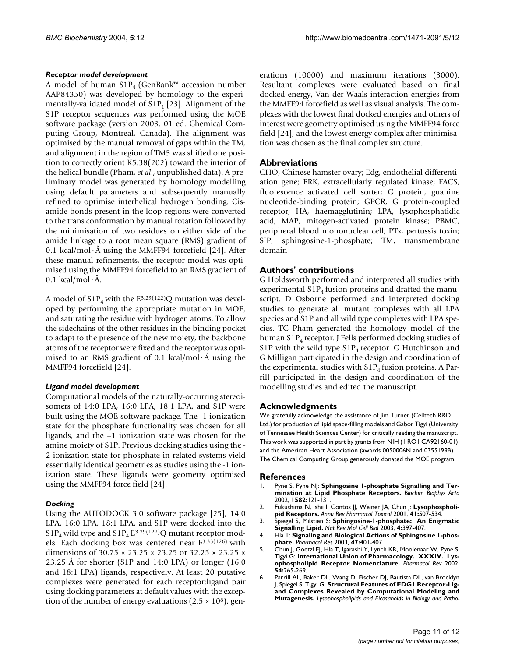### *Receptor model development*

A model of human  $S1P_4$  (GenBank™ accession number AAP84350) was developed by homology to the experimentally-validated model of  $S1P_1$  [23]. Alignment of the S1P receptor sequences was performed using the MOE software package (version 2003. 01 ed. Chemical Computing Group, Montreal, Canada). The alignment was optimised by the manual removal of gaps within the TM, and alignment in the region of TM5 was shifted one position to correctly orient K5.38(202) toward the interior of the helical bundle (Pham, *et al*., unpublished data). A preliminary model was generated by homology modelling using default parameters and subsequently manually refined to optimise interhelical hydrogen bonding. Cisamide bonds present in the loop regions were converted to the trans conformation by manual rotation followed by the minimisation of two residues on either side of the amide linkage to a root mean square (RMS) gradient of 0.1 kcal/mol·Å using the MMFF94 forcefield [24]. After these manual refinements, the receptor model was optimised using the MMFF94 forcefield to an RMS gradient of 0.1 kcal/mol· $\AA$ .

A model of  $\text{S1P}_4$  with the E<sup>3.29(122)</sup>Q mutation was developed by performing the appropriate mutation in MOE, and saturating the residue with hydrogen atoms. To allow the sidechains of the other residues in the binding pocket to adapt to the presence of the new moiety, the backbone atoms of the receptor were fixed and the receptor was optimised to an RMS gradient of 0.1 kcal/mol $\cdot$ Å using the MMFF94 forcefield [24].

### *Ligand model development*

Computational models of the naturally-occurring stereoisomers of 14:0 LPA, 16:0 LPA, 18:1 LPA, and S1P were built using the MOE software package. The -1 ionization state for the phosphate functionality was chosen for all ligands, and the +1 ionization state was chosen for the amine moiety of S1P. Previous docking studies using the - 2 ionization state for phosphate in related systems yield essentially identical geometries as studies using the -1 ionization state. These ligands were geometry optimised using the MMFF94 force field [24].

### *Docking*

Using the AUTODOCK 3.0 software package [25], 14:0 LPA, 16:0 LPA, 18:1 LPA, and S1P were docked into the  $S1P_4$  wild type and  $S1P_4$  E<sup>3.29(122)</sup>Q mutant receptor models. Each docking box was centered near F3.33(126) with dimensions of 30.75 × 23.25 × 23.25 or 32.25 × 23.25 × 23.25 Å for shorter (S1P and 14:0 LPA) or longer (16:0 and 18:1 LPA) ligands, respectively. At least 20 putative complexes were generated for each receptor:ligand pair using docking parameters at default values with the exception of the number of energy evaluations  $(2.5 \times 10^8)$ , generations (10000) and maximum iterations (3000). Resultant complexes were evaluated based on final docked energy, Van der Waals interaction energies from the MMFF94 forcefield as well as visual analysis. The complexes with the lowest final docked energies and others of interest were geometry optimised using the MMFF94 force field [24], and the lowest energy complex after minimisation was chosen as the final complex structure.

### **Abbreviations**

CHO, Chinese hamster ovary; Edg, endothelial differentiation gene; ERK, extracellularly regulated kinase; FACS, fluorescence activated cell sorter; G protein, guanine nucleotide-binding protein; GPCR, G protein-coupled receptor; HA, haemagglutinin; LPA, lysophosphatidic acid; MAP, mitogen-activated protein kinase; PBMC, peripheral blood mononuclear cell; PTx, pertussis toxin; SIP, sphingosine-1-phosphate; TM, transmembrane domain

### **Authors' contributions**

G Holdsworth performed and interpreted all studies with experimental  $S1P_4$  fusion proteins and drafted the manuscript. D Osborne performed and interpreted docking studies to generate all mutant complexes with all LPA species and S1P and all wild type complexes with LPA species. TC Pham generated the homology model of the human  $S1P_4$  receptor. J Fells performed docking studies of S1P with the wild type  $S1P_4$  receptor. G Hutchinson and G Milligan participated in the design and coordination of the experimental studies with  $S1P_4$  fusion proteins. A Parrill participated in the design and coordination of the modelling studies and edited the manuscript.

### **Acknowledgments**

We gratefully acknowledge the assistance of Jim Turner (Celltech R&D Ltd.) for production of lipid space-filling models and Gabor Tigyi (University of Tennessee Health Sciences Center) for critically reading the manuscript. This work was supported in part by grants from NIH (1 RO1 CA92160-01) and the American Heart Association (awards 0050006N and 0355199B). The Chemical Computing Group generously donated the MOE program.

#### **References**

- 1. Pyne S, Pyne NJ: **[Sphingosine 1-phosphate Signalling and Ter](http://www.ncbi.nlm.nih.gov/entrez/query.fcgi?cmd=Retrieve&db=PubMed&dopt=Abstract&list_uids=10.1016/S1388-1981(02)00146-4)[mination at Lipid Phosphate Receptors](http://www.ncbi.nlm.nih.gov/entrez/query.fcgi?cmd=Retrieve&db=PubMed&dopt=Abstract&list_uids=10.1016/S1388-1981(02)00146-4)[.](http://www.ncbi.nlm.nih.gov/entrez/query.fcgi?cmd=Retrieve&db=PubMed&dopt=Abstract&list_uids=12069819)** *Biochim Biophys Acta* 2002, **1582:**121-131.
- 2. Fukushima N, Ishii I, Contos JJ, Weiner JA, Chun J: **[Lysophospholi](http://www.ncbi.nlm.nih.gov/entrez/query.fcgi?cmd=Retrieve&db=PubMed&dopt=Abstract&list_uids=10.1146/annurev.pharmtox.41.1.507)[pid Receptors](http://www.ncbi.nlm.nih.gov/entrez/query.fcgi?cmd=Retrieve&db=PubMed&dopt=Abstract&list_uids=10.1146/annurev.pharmtox.41.1.507)[.](http://www.ncbi.nlm.nih.gov/entrez/query.fcgi?cmd=Retrieve&db=PubMed&dopt=Abstract&list_uids=11264467)** *Annu Rev Pharmacol Toxicol* 2001, **41:**507-534.
- 3. Spiegel S, Milstien S: **[Sphingosine-1-phosphate: An Enigmatic](http://www.ncbi.nlm.nih.gov/entrez/query.fcgi?cmd=Retrieve&db=PubMed&dopt=Abstract&list_uids=10.1038/nrm1103) [Signalling Lipid](http://www.ncbi.nlm.nih.gov/entrez/query.fcgi?cmd=Retrieve&db=PubMed&dopt=Abstract&list_uids=10.1038/nrm1103)[.](http://www.ncbi.nlm.nih.gov/entrez/query.fcgi?cmd=Retrieve&db=PubMed&dopt=Abstract&list_uids=12728273)** *Nat Rev Mol Cell Biol* 2003, **4:**397-407.
- 4. Hla T: **[Signaling and Biological Actions of Sphingosine 1-phos](http://www.ncbi.nlm.nih.gov/entrez/query.fcgi?cmd=Retrieve&db=PubMed&dopt=Abstract&list_uids=10.1016/S1043-6618(03)00046-X)[phate](http://www.ncbi.nlm.nih.gov/entrez/query.fcgi?cmd=Retrieve&db=PubMed&dopt=Abstract&list_uids=10.1016/S1043-6618(03)00046-X)[.](http://www.ncbi.nlm.nih.gov/entrez/query.fcgi?cmd=Retrieve&db=PubMed&dopt=Abstract&list_uids=12676514)** *Pharmacol Res* 2003, **47:**401-407.
- 5. Chun J, Goetzl EJ, Hla T, Igarashi Y, Lynch KR, Moolenaar W, Pyne S, Tigyi G: **[International Union of Pharmacology. XXXIV. Lys](http://www.ncbi.nlm.nih.gov/entrez/query.fcgi?cmd=Retrieve&db=PubMed&dopt=Abstract&list_uids=10.1124/pr.54.2.265)[ophospholipid Receptor Nomenclature](http://www.ncbi.nlm.nih.gov/entrez/query.fcgi?cmd=Retrieve&db=PubMed&dopt=Abstract&list_uids=10.1124/pr.54.2.265)[.](http://www.ncbi.nlm.nih.gov/entrez/query.fcgi?cmd=Retrieve&db=PubMed&dopt=Abstract&list_uids=12037142)** *Pharmacol Rev* 2002, **54:**265-269.
- 6. Parrill AL, Baker DL, Wang D, Fischer DJ, Bautista DL, van Brocklyn J, Spiegel S, Tigyi G: **Structural Features of EDG1 Receptor-Ligand Complexes Revealed by Computational Modeling and Mutagenesis.** *Lysophospholipids and Eicosanoids in Biology and Patho-*